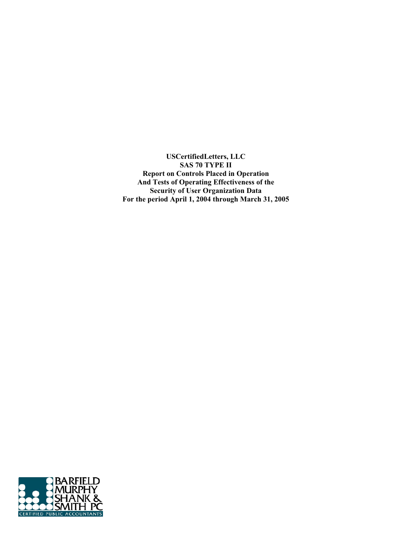**USCertifiedLetters, LLC SAS 70 TYPE II Report on Controls Placed in Operation And Tests of Operating Effectiveness of the Security of User Organization Data For the period April 1, 2004 through March 31, 2005** 

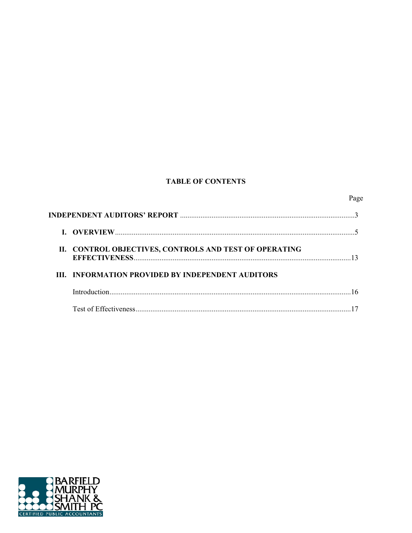## **TABLE OF CONTENTS**

|  | II. CONTROL OBJECTIVES, CONTROLS AND TEST OF OPERATING   |  |
|--|----------------------------------------------------------|--|
|  | <b>III. INFORMATION PROVIDED BY INDEPENDENT AUDITORS</b> |  |
|  |                                                          |  |
|  |                                                          |  |

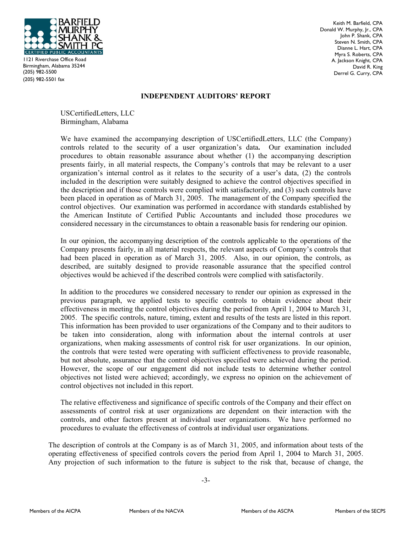

1121 Riverchase Office Road Birmingham, Alabama 35244 (205) 982-5500 (205) 982-5501 fax

Keith M. Barfield, CPA Donald W. Murphy, Jr., CPA John P. Shank, CPA Steven N. Smith, CPA Dianne L. Hart, CPA Myra S. Roberts, CPA A. Jackson Knight, CPA David R. King Derrel G. Curry, CPA

## **INDEPENDENT AUDITORS' REPORT**

USCertifiedLetters, LLC Birmingham, Alabama

We have examined the accompanying description of USCertifiedLetters, LLC (the Company) controls related to the security of a user organization's data**.** Our examination included procedures to obtain reasonable assurance about whether (1) the accompanying description presents fairly, in all material respects, the Company's controls that may be relevant to a user organization's internal control as it relates to the security of a user's data, (2) the controls included in the description were suitably designed to achieve the control objectives specified in the description and if those controls were complied with satisfactorily, and (3) such controls have been placed in operation as of March 31, 2005. The management of the Company specified the control objectives. Our examination was performed in accordance with standards established by the American Institute of Certified Public Accountants and included those procedures we considered necessary in the circumstances to obtain a reasonable basis for rendering our opinion.

In our opinion, the accompanying description of the controls applicable to the operations of the Company presents fairly, in all material respects, the relevant aspects of Company's controls that had been placed in operation as of March 31, 2005. Also, in our opinion, the controls, as described, are suitably designed to provide reasonable assurance that the specified control objectives would be achieved if the described controls were complied with satisfactorily.

In addition to the procedures we considered necessary to render our opinion as expressed in the previous paragraph, we applied tests to specific controls to obtain evidence about their effectiveness in meeting the control objectives during the period from April 1, 2004 to March 31, 2005. The specific controls, nature, timing, extent and results of the tests are listed in this report. This information has been provided to user organizations of the Company and to their auditors to be taken into consideration, along with information about the internal controls at user organizations, when making assessments of control risk for user organizations. In our opinion, the controls that were tested were operating with sufficient effectiveness to provide reasonable, but not absolute, assurance that the control objectives specified were achieved during the period. However, the scope of our engagement did not include tests to determine whether control objectives not listed were achieved; accordingly, we express no opinion on the achievement of control objectives not included in this report.

The relative effectiveness and significance of specific controls of the Company and their effect on assessments of control risk at user organizations are dependent on their interaction with the controls, and other factors present at individual user organizations. We have performed no procedures to evaluate the effectiveness of controls at individual user organizations.

The description of controls at the Company is as of March 31, 2005, and information about tests of the operating effectiveness of specified controls covers the period from April 1, 2004 to March 31, 2005. Any projection of such information to the future is subject to the risk that, because of change, the